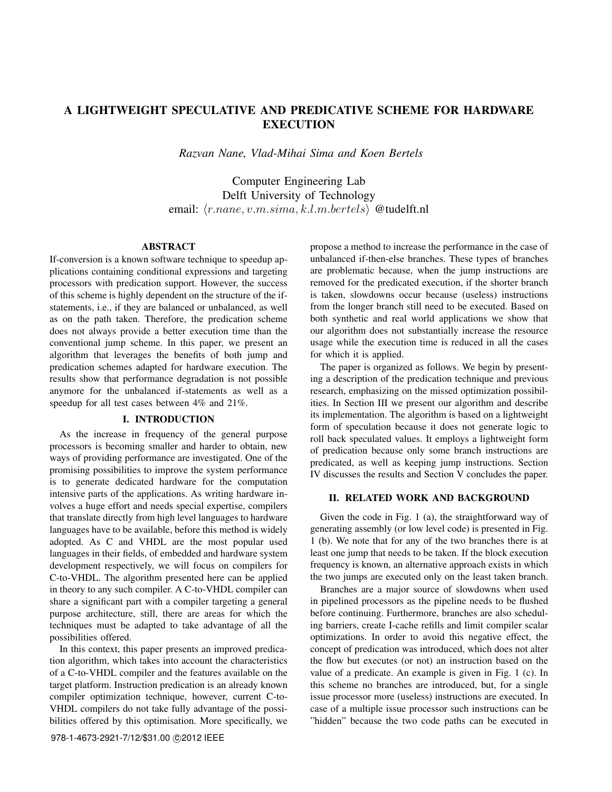# A LIGHTWEIGHT SPECULATIVE AND PREDICATIVE SCHEME FOR HARDWARE EXECUTION

*Razvan Nane, Vlad-Mihai Sima and Koen Bertels*

Computer Engineering Lab Delft University of Technology email:  $\langle r.name, v.m.sima, k.l.m.bertels \rangle$  @tudelft.nl

## ABSTRACT

If-conversion is a known software technique to speedup applications containing conditional expressions and targeting processors with predication support. However, the success of this scheme is highly dependent on the structure of the ifstatements, i.e., if they are balanced or unbalanced, as well as on the path taken. Therefore, the predication scheme does not always provide a better execution time than the conventional jump scheme. In this paper, we present an algorithm that leverages the benefits of both jump and predication schemes adapted for hardware execution. The results show that performance degradation is not possible anymore for the unbalanced if-statements as well as a speedup for all test cases between 4% and 21%.

## I. INTRODUCTION

As the increase in frequency of the general purpose processors is becoming smaller and harder to obtain, new ways of providing performance are investigated. One of the promising possibilities to improve the system performance is to generate dedicated hardware for the computation intensive parts of the applications. As writing hardware involves a huge effort and needs special expertise, compilers that translate directly from high level languages to hardware languages have to be available, before this method is widely adopted. As C and VHDL are the most popular used languages in their fields, of embedded and hardware system development respectively, we will focus on compilers for C-to-VHDL. The algorithm presented here can be applied in theory to any such compiler. A C-to-VHDL compiler can share a significant part with a compiler targeting a general purpose architecture, still, there are areas for which the techniques must be adapted to take advantage of all the possibilities offered.

In this context, this paper presents an improved predication algorithm, which takes into account the characteristics of a C-to-VHDL compiler and the features available on the target platform. Instruction predication is an already known compiler optimization technique, however, current C-to-VHDL compilers do not take fully advantage of the possibilities offered by this optimisation. More specifically, we

propose a method to increase the performance in the case of unbalanced if-then-else branches. These types of branches are problematic because, when the jump instructions are removed for the predicated execution, if the shorter branch is taken, slowdowns occur because (useless) instructions from the longer branch still need to be executed. Based on both synthetic and real world applications we show that our algorithm does not substantially increase the resource usage while the execution time is reduced in all the cases for which it is applied.

The paper is organized as follows. We begin by presenting a description of the predication technique and previous research, emphasizing on the missed optimization possibilities. In Section III we present our algorithm and describe its implementation. The algorithm is based on a lightweight form of speculation because it does not generate logic to roll back speculated values. It employs a lightweight form of predication because only some branch instructions are predicated, as well as keeping jump instructions. Section IV discusses the results and Section V concludes the paper.

#### II. RELATED WORK AND BACKGROUND

Given the code in Fig. 1 (a), the straightforward way of generating assembly (or low level code) is presented in Fig. 1 (b). We note that for any of the two branches there is at least one jump that needs to be taken. If the block execution frequency is known, an alternative approach exists in which the two jumps are executed only on the least taken branch.

Branches are a major source of slowdowns when used in pipelined processors as the pipeline needs to be flushed before continuing. Furthermore, branches are also scheduling barriers, create I-cache refills and limit compiler scalar optimizations. In order to avoid this negative effect, the concept of predication was introduced, which does not alter the flow but executes (or not) an instruction based on the value of a predicate. An example is given in Fig. 1 (c). In this scheme no branches are introduced, but, for a single issue processor more (useless) instructions are executed. In case of a multiple issue processor such instructions can be "hidden" because the two code paths can be executed in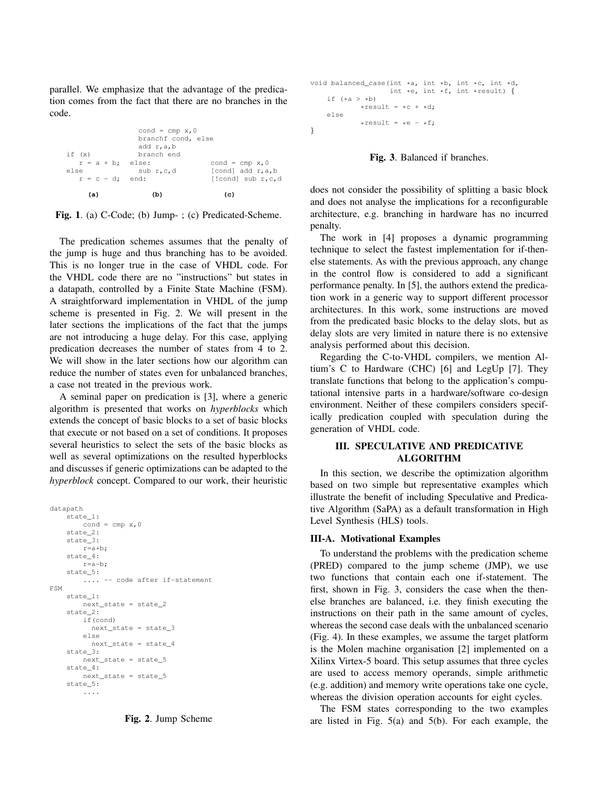parallel. We emphasize that the advantage of the predication comes from the fact that there are no branches in the code.



Fig. 1. (a) C-Code; (b) Jump- ; (c) Predicated-Scheme.

The predication schemes assumes that the penalty of the jump is huge and thus branching has to be avoided. This is no longer true in the case of VHDL code. For the VHDL code there are no "instructions" but states in a datapath, controlled by a Finite State Machine (FSM). A straightforward implementation in VHDL of the jump scheme is presented in Fig. 2. We will present in the later sections the implications of the fact that the jumps are not introducing a huge delay. For this case, applying predication decreases the number of states from 4 to 2. We will show in the later sections how our algorithm can reduce the number of states even for unbalanced branches, a case not treated in the previous work.

A seminal paper on predication is [3], where a generic algorithm is presented that works on *hyperblocks* which extends the concept of basic blocks to a set of basic blocks that execute or not based on a set of conditions. It proposes several heuristics to select the sets of the basic blocks as well as several optimizations on the resulted hyperblocks and discusses if generic optimizations can be adapted to the *hyperblock* concept. Compared to our work, their heuristic

```
datapath
    state_1:
       cond = cmp x, 0state_2:
    state_3:
       r=a+b;
    state_4:
        r=a-b;
    state_5:
        .... -- code after if-statement
FSM
    state_1:
        next_state = state_2
    state_2:
       if(cond)
          next_state = state_3
        else
          next state = state 4state 3:
        next_state = state_5
    state_4:
        next_state = state_5
    state_5:
        ....
```

```
Fig. 2. Jump Scheme
```

```
void balanced_case(int *a, int *b, int *c, int *d,
                 int *e, int *f, int *result) {
    if (xa > xb)*result = \starc + \stard:
    else
            *result = *e - *f;}
```
## Fig. 3. Balanced if branches.

does not consider the possibility of splitting a basic block and does not analyse the implications for a reconfigurable architecture, e.g. branching in hardware has no incurred penalty.

The work in [4] proposes a dynamic programming technique to select the fastest implementation for if-thenelse statements. As with the previous approach, any change in the control flow is considered to add a significant performance penalty. In [5], the authors extend the predication work in a generic way to support different processor architectures. In this work, some instructions are moved from the predicated basic blocks to the delay slots, but as delay slots are very limited in nature there is no extensive analysis performed about this decision.

Regarding the C-to-VHDL compilers, we mention Altium's C to Hardware (CHC) [6] and LegUp [7]. They translate functions that belong to the application's computational intensive parts in a hardware/software co-design environment. Neither of these compilers considers specifically predication coupled with speculation during the generation of VHDL code.

# III. SPECULATIVE AND PREDICATIVE ALGORITHM

In this section, we describe the optimization algorithm based on two simple but representative examples which illustrate the benefit of including Speculative and Predicative Algorithm (SaPA) as a default transformation in High Level Synthesis (HLS) tools.

#### III-A. Motivational Examples

To understand the problems with the predication scheme (PRED) compared to the jump scheme (JMP), we use two functions that contain each one if-statement. The first, shown in Fig. 3, considers the case when the thenelse branches are balanced, i.e. they finish executing the instructions on their path in the same amount of cycles, whereas the second case deals with the unbalanced scenario (Fig. 4). In these examples, we assume the target platform is the Molen machine organisation [2] implemented on a Xilinx Virtex-5 board. This setup assumes that three cycles are used to access memory operands, simple arithmetic (e.g. addition) and memory write operations take one cycle, whereas the division operation accounts for eight cycles.

The FSM states corresponding to the two examples are listed in Fig. 5(a) and 5(b). For each example, the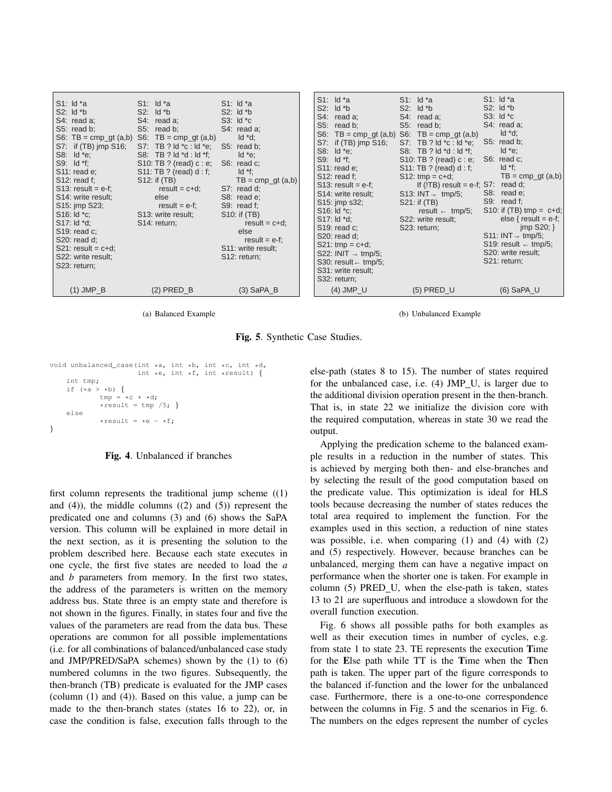| S1: $\mathsf{Id}^*a$<br>S2: $\mathsf{Id}^* \mathsf{b}$<br>S4: read a;<br>S5: read b;<br>S6: TB = cmp gt (a,b) S6: TB = cmp gt (a,b)<br>S7: if (TB) jmp S16; S7: TB ? ld *c : ld *e; S5: read b;<br>S8: Id *e;<br>S9: Id *f;<br>$S11:$ read e;<br>$S12:$ read f;<br>$S13$ : result = e-f;<br>S <sub>14</sub> : write result;<br>S15: jmp S23;<br>$S16:$ Id ${}^{\star}$ c;<br>S17: Id *d:<br>S19: read c;<br>S20: read d;<br>$S21: result = c+d;$<br>S22: write result;<br>S23: return; | S1: $\mathsf{Id}^*$ a<br>$S2:$ Id *b<br>S4: read a;<br>$S5:$ read b;<br>S8: TB $?$ Id $*$ d : Id $*$ f;<br>S10: TB ? (read) $c : e$ ; S6: read $c$ ;<br>S11: TB ? (read) $d$ : f;<br>$result = c + d$ ;<br>else<br>$result = e-f$ ;<br>S13: write result;<br>S <sub>14</sub> : return; | S1: $\mathsf{Id}^*$ a<br>$S2: Id *b$<br>S3: $\text{Id} *c$<br>S4: read a;<br>$\mathsf{Id} \star \mathsf{d}$ ;<br>$Id *e$ ;<br>$Id * f$ ;<br>S12: if (TB) $TB = \text{cmp} \text{gt}(a,b)$<br>S7: read d;<br>S8: read e;<br>S9: read f;<br>S10: if (TB)<br>$result = c+d$ ;<br>else<br>result = $e$ -f;<br>S11: write result:<br>S12: return; | S1: $\mathsf{Id}^*$ a<br>$S1:$ Id *a<br>S1: $\mathsf{Id}^*$ a<br>$S2:$ Id *b<br>S2: $\mathsf{Id}^* \mathsf{b}$<br>S2: $\mathsf{Id}^* \mathsf{b}$<br>S3: $\text{Id} *c$<br>S4: read a;<br>S4: read a;<br>S4: read a;<br>S5: read b;<br>S5: read b;<br>$\mathsf{Id} \star \mathsf{d}$ ;<br>S6: TB = cmp gt (a,b) S6: TB = cmp gt (a,b)<br>S7: TB $?$ Id $*$ c : Id $*$ e;<br>S5: read b;<br>S7: if (TB) jmp S16;<br>$Id *e$ ;<br>S8: TB ? Id *d : Id *f;<br>S8: Id *e;<br>S6: read $c$ ;<br>S10: TB ? (read) c : e;<br>$S9:$ $Id *f$ ;<br>$Id * f$ ;<br>S11: read e;<br>S11: TB ? (read) $d$ : f;<br>$S12:$ read f;<br>S12: tmp = $c+d$ ; $TB = cmp$ gt $(a,b)$<br>If (!TB) result = e-f; $S7$ : read d;<br>$S13$ : result = e-f;<br>S8: read $e$ ;<br>S13: INT $\rightarrow$ tmp/5;<br>S14: write result;<br>S9: read f;<br>$S21:$ if $(TB)$<br>S15: jmp s32;<br>S10: if (TB) tmp = $c+d$ ;<br>$S16:$ Id ${}^{\star}$ c;<br>result $\leftarrow$ tmp/5;<br>else { $result = e-f$ ;<br>S17: Id *d;<br>S22: write result;<br>$imp$ S20; }<br>S19: read c;<br>S23: return;<br>S11: INT $\rightarrow$ tmp/5;<br>S20: read d;<br>S19: result $\leftarrow$ tmp/5;<br>$S21:$ tmp = $c+d;$<br>S20: write result;<br>S22: INIT $\rightarrow$ tmp/5;<br>S21: return;<br>S30: result $\leftarrow$ tmp/5;<br>S31: write result;<br>S32: return; |
|----------------------------------------------------------------------------------------------------------------------------------------------------------------------------------------------------------------------------------------------------------------------------------------------------------------------------------------------------------------------------------------------------------------------------------------------------------------------------------------|----------------------------------------------------------------------------------------------------------------------------------------------------------------------------------------------------------------------------------------------------------------------------------------|----------------------------------------------------------------------------------------------------------------------------------------------------------------------------------------------------------------------------------------------------------------------------------------------------------------------------------------------|-----------------------------------------------------------------------------------------------------------------------------------------------------------------------------------------------------------------------------------------------------------------------------------------------------------------------------------------------------------------------------------------------------------------------------------------------------------------------------------------------------------------------------------------------------------------------------------------------------------------------------------------------------------------------------------------------------------------------------------------------------------------------------------------------------------------------------------------------------------------------------------------------------------------------------------------------------------------------------------------------------------------------------------------------------------------------------------------------------------------------------------------------------------------------------------------------------------------------------------------------------------------------------------------------------------------------------------|
| $(1)$ JMP $\overline{B}$                                                                                                                                                                                                                                                                                                                                                                                                                                                               | $(2)$ PRED B                                                                                                                                                                                                                                                                           | $(3)$ SaPA B                                                                                                                                                                                                                                                                                                                                 | $(4)$ JMP U<br>$(5)$ PRED U<br>$(6)$ SaPA U                                                                                                                                                                                                                                                                                                                                                                                                                                                                                                                                                                                                                                                                                                                                                                                                                                                                                                                                                                                                                                                                                                                                                                                                                                                                                       |

(a) Balanced Example

(b) Unbalanced Example

Fig. 5. Synthetic Case Studies.

```
int tmp;
        (*a > *b) {
    if (*a > *b) {<br>tmp =
        *result = tmp / 5; }void unbalanced_case(int *a, int *b, int *c, int *d,
int *e, int *f, int *result) {
              tmp = x + x + xelse
               *result = *e - *f;}
```
Fig. 4. Unbalanced if branches

first column represents the traditional jump scheme ((1) and  $(4)$ ), the middle columns  $((2)$  and  $(5)$ ) represent the predicated one and columns (3) and (6) shows the SaPA version. This column will be explained in more detail in the next section, as it is presenting the solution to the problem described here. Because each state executes in one cycle, the first five states are needed to load the *a* and *b* parameters from memory. In the first two states, the address of the parameters is written on the memory address bus. State three is an empty state and therefore is not shown in the figures. Finally, in states four and five the values of the parameters are read from the data bus. These operations are common for all possible implementations (i.e. for all combinations of balanced/unbalanced case study and JMP/PRED/SaPA schemes) shown by the (1) to (6) numbered columns in the two figures. Subsequently, the then-branch (TB) predicate is evaluated for the JMP cases (column (1) and (4)). Based on this value, a jump can be made to the then-branch states (states 16 to 22), or, in case the condition is false, execution falls through to the

for the unbalanced case, i.e. (4) JMP\_U, is larger due to  $1$ ditional div $\ddot{\rm s}$ the additional division operation present in the then-branch. That is, in state 22 we initialize the division core with the required computation, whereas in state 30 we read the else-path (states 8 to 15). The number of states required output.

Applying the predication scheme to the balanced example results in a reduction in the number of states. This is achieved by merging both then- and else-branches and by selecting the result of the good computation based on the predicate value. This optimization is ideal for HLS tools because decreasing the number of states reduces the total area required to implement the function. For the examples used in this section, a reduction of nine states was possible, i.e. when comparing (1) and (4) with (2) and (5) respectively. However, because branches can be unbalanced, merging them can have a negative impact on performance when the shorter one is taken. For example in column (5) PRED\_U, when the else-path is taken, states 13 to 21 are superfluous and introduce a slowdown for the overall function execution.

Fig. 6 shows all possible paths for both examples as well as their execution times in number of cycles, e.g. from state 1 to state 23. TE represents the execution Time for the Else path while TT is the Time when the Then path is taken. The upper part of the figure corresponds to the balanced if-function and the lower for the unbalanced case. Furthermore, there is a one-to-one correspondence between the columns in Fig. 5 and the scenarios in Fig. 6. The numbers on the edges represent the number of cycles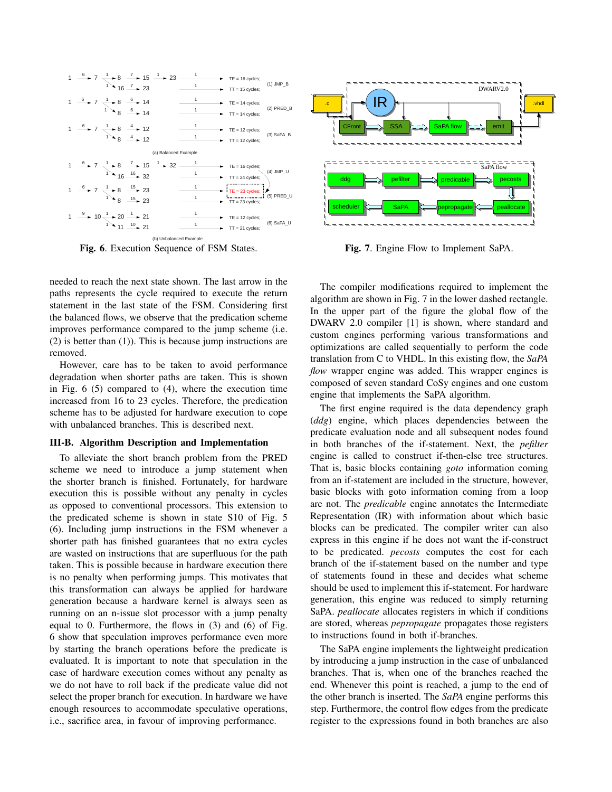

Fig. 6. Execution Sequence of FSM States.

needed to reach the next state shown. The last arrow in the paths represents the cycle required to execute the return statement in the last state of the FSM. Considering first the balanced flows, we observe that the predication scheme improves performance compared to the jump scheme (i.e. (2) is better than (1)). This is because jump instructions are removed.

However, care has to be taken to avoid performance degradation when shorter paths are taken. This is shown in Fig. 6 (5) compared to (4), where the execution time increased from 16 to 23 cycles. Therefore, the predication scheme has to be adjusted for hardware execution to cope with unbalanced branches. This is described next.

#### III-B. Algorithm Description and Implementation

To alleviate the short branch problem from the PRED scheme we need to introduce a jump statement when the shorter branch is finished. Fortunately, for hardware execution this is possible without any penalty in cycles as opposed to conventional processors. This extension to the predicated scheme is shown in state S10 of Fig. 5 (6). Including jump instructions in the FSM whenever a shorter path has finished guarantees that no extra cycles are wasted on instructions that are superfluous for the path taken. This is possible because in hardware execution there is no penalty when performing jumps. This motivates that this transformation can always be applied for hardware generation because a hardware kernel is always seen as running on an n-issue slot processor with a jump penalty equal to 0. Furthermore, the flows in (3) and (6) of Fig. 6 show that speculation improves performance even more by starting the branch operations before the predicate is evaluated. It is important to note that speculation in the case of hardware execution comes without any penalty as we do not have to roll back if the predicate value did not select the proper branch for execution. In hardware we have enough resources to accommodate speculative operations, i.e., sacrifice area, in favour of improving performance.



Fig. 7. Engine Flow to Implement SaPA.

The compiler modifications required to implement the algorithm are shown in Fig. 7 in the lower dashed rectangle. In the upper part of the figure the global flow of the DWARV 2.0 compiler [1] is shown, where standard and custom engines performing various transformations and optimizations are called sequentially to perform the code translation from C to VHDL. In this existing flow, the *SaPA flow* wrapper engine was added. This wrapper engines is composed of seven standard CoSy engines and one custom engine that implements the SaPA algorithm.

The first engine required is the data dependency graph (*ddg*) engine, which places dependencies between the predicate evaluation node and all subsequent nodes found in both branches of the if-statement. Next, the *pefilter* engine is called to construct if-then-else tree structures. That is, basic blocks containing *goto* information coming from an if-statement are included in the structure, however, basic blocks with goto information coming from a loop are not. The *predicable* engine annotates the Intermediate Representation (IR) with information about which basic blocks can be predicated. The compiler writer can also express in this engine if he does not want the if-construct to be predicated. *pecosts* computes the cost for each branch of the if-statement based on the number and type of statements found in these and decides what scheme should be used to implement this if-statement. For hardware generation, this engine was reduced to simply returning SaPA. *peallocate* allocates registers in which if conditions are stored, whereas *pepropagate* propagates those registers to instructions found in both if-branches.

The SaPA engine implements the lightweight predication by introducing a jump instruction in the case of unbalanced branches. That is, when one of the branches reached the end. Whenever this point is reached, a jump to the end of the other branch is inserted. The *SaPA* engine performs this step. Furthermore, the control flow edges from the predicate register to the expressions found in both branches are also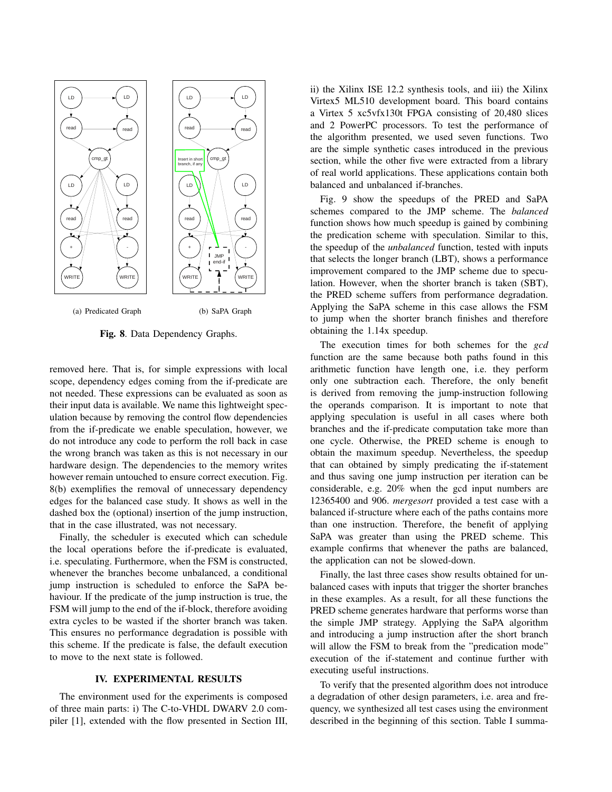

Fig. 8. Data Dependency Graphs.

removed here. That is, for simple expressions with local scope, dependency edges coming from the if-predicate are not needed. These expressions can be evaluated as soon as their input data is available. We name this lightweight speculation because by removing the control flow dependencies from the if-predicate we enable speculation, however, we do not introduce any code to perform the roll back in case the wrong branch was taken as this is not necessary in our hardware design. The dependencies to the memory writes however remain untouched to ensure correct execution. Fig. 8(b) exemplifies the removal of unnecessary dependency edges for the balanced case study. It shows as well in the dashed box the (optional) insertion of the jump instruction, that in the case illustrated, was not necessary.

Finally, the scheduler is executed which can schedule the local operations before the if-predicate is evaluated, i.e. speculating. Furthermore, when the FSM is constructed, whenever the branches become unbalanced, a conditional jump instruction is scheduled to enforce the SaPA behaviour. If the predicate of the jump instruction is true, the FSM will jump to the end of the if-block, therefore avoiding extra cycles to be wasted if the shorter branch was taken. This ensures no performance degradation is possible with this scheme. If the predicate is false, the default execution to move to the next state is followed.

## IV. EXPERIMENTAL RESULTS

The environment used for the experiments is composed of three main parts: i) The C-to-VHDL DWARV 2.0 compiler [1], extended with the flow presented in Section III, ii) the Xilinx ISE 12.2 synthesis tools, and iii) the Xilinx Virtex5 ML510 development board. This board contains a Virtex 5 xc5vfx130t FPGA consisting of 20,480 slices and 2 PowerPC processors. To test the performance of the algorithm presented, we used seven functions. Two are the simple synthetic cases introduced in the previous section, while the other five were extracted from a library of real world applications. These applications contain both balanced and unbalanced if-branches.

Fig. 9 show the speedups of the PRED and SaPA schemes compared to the JMP scheme. The *balanced* function shows how much speedup is gained by combining the predication scheme with speculation. Similar to this, the speedup of the *unbalanced* function, tested with inputs that selects the longer branch (LBT), shows a performance improvement compared to the JMP scheme due to speculation. However, when the shorter branch is taken (SBT), the PRED scheme suffers from performance degradation. Applying the SaPA scheme in this case allows the FSM to jump when the shorter branch finishes and therefore obtaining the 1.14x speedup.

The execution times for both schemes for the *gcd* function are the same because both paths found in this arithmetic function have length one, i.e. they perform only one subtraction each. Therefore, the only benefit is derived from removing the jump-instruction following the operands comparison. It is important to note that applying speculation is useful in all cases where both branches and the if-predicate computation take more than one cycle. Otherwise, the PRED scheme is enough to obtain the maximum speedup. Nevertheless, the speedup that can obtained by simply predicating the if-statement and thus saving one jump instruction per iteration can be considerable, e.g. 20% when the gcd input numbers are 12365400 and 906. *mergesort* provided a test case with a balanced if-structure where each of the paths contains more than one instruction. Therefore, the benefit of applying SaPA was greater than using the PRED scheme. This example confirms that whenever the paths are balanced, the application can not be slowed-down.

Finally, the last three cases show results obtained for unbalanced cases with inputs that trigger the shorter branches in these examples. As a result, for all these functions the PRED scheme generates hardware that performs worse than the simple JMP strategy. Applying the SaPA algorithm and introducing a jump instruction after the short branch will allow the FSM to break from the "predication mode" execution of the if-statement and continue further with executing useful instructions.

To verify that the presented algorithm does not introduce a degradation of other design parameters, i.e. area and frequency, we synthesized all test cases using the environment described in the beginning of this section. Table I summa-